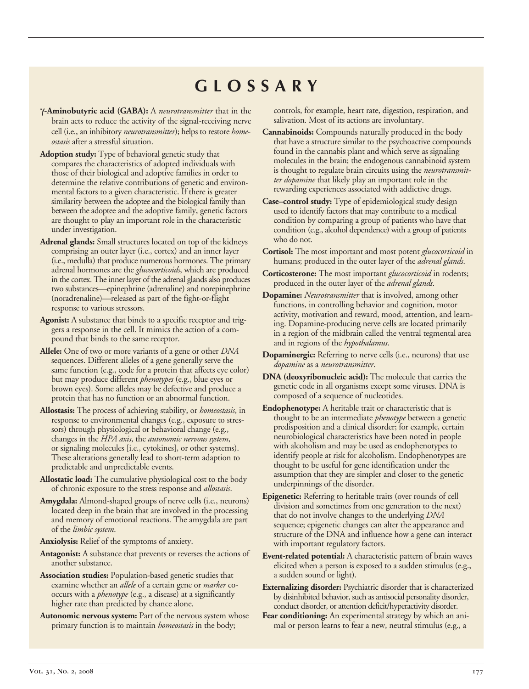## **GLOSSARY**

- γ**-Aminobutyric acid (GABA):** A *neurotransmitter* that in the brain acts to reduce the activity of the signal-receiving nerve cell (i.e., an inhibitory *neurotransmitter*); helps to restore *homeostasis* after a stressful situation.
- similarity between the adoptee and the biological family than between the adoptee and the adoptive family, genetic factors **Adoption study:** Type of behavioral genetic study that compares the characteristics of adopted individuals with those of their biological and adoptive families in order to determine the relative contributions of genetic and environmental factors to a given characteristic. If there is greater are thought to play an important role in the characteristic under investigation.
- **Adrenal glands:** Small structures located on top of the kidneys comprising an outer layer (i.e., cortex) and an inner layer (i.e., medulla) that produce numerous hormones. The primary adrenal hormones are the *glucocorticoids*, which are produced in the cortex. The inner layer of the adrenal glands also produces two substances—epinephrine (adrenaline) and norepinephrine (noradrenaline)—released as part of the fight-or-flight response to various stressors.
- **Agonist:** A substance that binds to a specific receptor and triggers a response in the cell. It mimics the action of a compound that binds to the same receptor.
- **Allele:** One of two or more variants of a gene or other *DNA*  sequences. Different alleles of a gene generally serve the same function (e.g., code for a protein that affects eye color) but may produce different *phenotypes* (e.g., blue eyes or brown eyes). Some alleles may be defective and produce a protein that has no function or an abnormal function.
- **Allostasis:** The process of achieving stability, or *homeostasis*, in response to environmental changes (e.g., exposure to stressors) through physiological or behavioral change (e.g., changes in the *HPA axis*, the *autonomic nervous system*, or signaling molecules [i.e., cytokines], or other systems). These alterations generally lead to short-term adaption to predictable and unpredictable events.
- **Allostatic load:** The cumulative physiological cost to the body of chronic exposure to the stress response and *allostasis*.
- **Amygdala:** Almond-shaped groups of nerve cells (i.e., neurons) located deep in the brain that are involved in the processing and memory of emotional reactions. The amygdala are part of the *limbic system*.
- **Anxiolysis:** Relief of the symptoms of anxiety.
- **Antagonist:** A substance that prevents or reverses the actions of another substance.
- **Association studies:** Population-based genetic studies that examine whether an *allele* of a certain gene or *marker* cooccurs with a *phenotype* (e.g., a disease) at a significantly higher rate than predicted by chance alone.
- **Autonomic nervous system:** Part of the nervous system whose primary function is to maintain *homeostasis* in the body;

controls, for example, heart rate, digestion, respiration, and salivation. Most of its actions are involuntary.

- **Cannabinoids:** Compounds naturally produced in the body that have a structure similar to the psychoactive compounds found in the cannabis plant and which serve as signaling molecules in the brain; the endogenous cannabinoid system is thought to regulate brain circuits using the *neurotransmitter dopamine* that likely play an important role in the rewarding experiences associated with addictive drugs.
- **Case–control study:** Type of epidemiological study design used to identify factors that may contribute to a medical condition by comparing a group of patients who have that condition (e.g., alcohol dependence) with a group of patients who do not.
- **Cortisol:** The most important and most potent *glucocorticoid* in humans; produced in the outer layer of the *adrenal glands*.
- **Corticosterone:** The most important *glucocorticoid* in rodents; produced in the outer layer of the *adrenal glands*.
- **Dopamine:** *Neurotransmitter* that is involved, among other functions, in controlling behavior and cognition, motor activity, motivation and reward, mood, attention, and learning. Dopamine-producing nerve cells are located primarily in a region of the midbrain called the ventral tegmental area and in regions of the *hypothalamus*.
- **Dopaminergic:** Referring to nerve cells (i.e., neurons) that use *dopamine* as a *neurotransmitter*.
- **DNA (deoxyribonucleic acid):** The molecule that carries the genetic code in all organisms except some viruses. DNA is composed of a sequence of nucleotides.
- **Endophenotype:** A heritable trait or characteristic that is thought to be an intermediate *phenotype* between a genetic predisposition and a clinical disorder; for example, certain neurobiological characteristics have been noted in people with alcoholism and may be used as endophenotypes to identify people at risk for alcoholism. Endophenotypes are thought to be useful for gene identification under the assumption that they are simpler and closer to the genetic underpinnings of the disorder.
- **Epigenetic:** Referring to heritable traits (over rounds of cell division and sometimes from one generation to the next) that do not involve changes to the underlying *DNA*  sequence; epigenetic changes can alter the appearance and structure of the DNA and influence how a gene can interact with important regulatory factors.
- **Event-related potential:** A characteristic pattern of brain waves elicited when a person is exposed to a sudden stimulus (e.g., a sudden sound or light).
- **Externalizing disorder:** Psychiatric disorder that is characterized by disinhibited behavior, such as antisocial personality disorder, conduct disorder, or attention deficit/hyperactivity disorder.
- **Fear conditioning:** An experimental strategy by which an animal or person learns to fear a new, neutral stimulus (e.g., a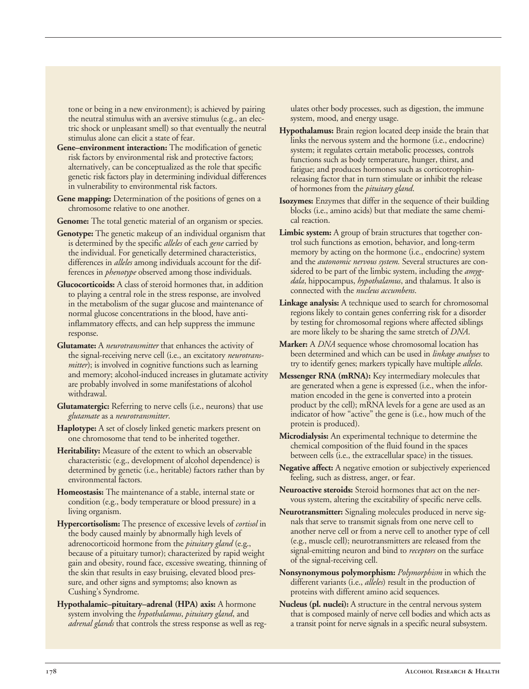tone or being in a new environment); is achieved by pairing the neutral stimulus with an aversive stimulus (e.g., an electric shock or unpleasant smell) so that eventually the neutral stimulus alone can elicit a state of fear.

- **Gene–environment interaction:** The modification of genetic risk factors by environmental risk and protective factors; alternatively, can be conceptualized as the role that specific genetic risk factors play in determining individual differences in vulnerability to environmental risk factors.
- Gene mapping: Determination of the positions of genes on a chromosome relative to one another.

**Genome:** The total genetic material of an organism or species.

- **Genotype:** The genetic makeup of an individual organism that is determined by the specific *alleles* of each *gene* carried by the individual. For genetically determined characteristics, differences in *alleles* among individuals account for the differences in *phenotype* observed among those individuals.
- **Glucocorticoids:** A class of steroid hormones that, in addition to playing a central role in the stress response, are involved in the metabolism of the sugar glucose and maintenance of normal glucose concentrations in the blood, have antiinflammatory effects, and can help suppress the immune response.
- **Glutamate:** A *neurotransmitter* that enhances the activity of the signal-receiving nerve cell (i.e., an excitatory *neurotransmitter*); is involved in cognitive functions such as learning and memory; alcohol-induced increases in glutamate activity are probably involved in some manifestations of alcohol withdrawal.
- **Glutamatergic:** Referring to nerve cells (i.e., neurons) that use *glutamate* as a *neurotransmitter*.
- **Haplotype:** A set of closely linked genetic markers present on one chromosome that tend to be inherited together.
- **Heritability:** Measure of the extent to which an observable characteristic (e.g., development of alcohol dependence) is determined by genetic (i.e., heritable) factors rather than by environmental factors.
- **Homeostasis:** The maintenance of a stable, internal state or condition (e.g., body temperature or blood pressure) in a living organism.
- **Hypercortisolism:** The presence of excessive levels of *cortisol* in the body caused mainly by abnormally high levels of adrenocorticoid hormone from the *pituitary gland* (e.g., because of a pituitary tumor); characterized by rapid weight gain and obesity, round face, excessive sweating, thinning of the skin that results in easy bruising, elevated blood pressure, and other signs and symptoms; also known as Cushing's Syndrome.
- **Hypothalamic–pituitary–adrenal (HPA) axis:** A hormone system involving the *hypothalamus*, *pituitary gland*, and *adrenal glands* that controls the stress response as well as reg-

ulates other body processes, such as digestion, the immune system, mood, and energy usage.

- **Hypothalamus:** Brain region located deep inside the brain that links the nervous system and the hormone (i.e., endocrine) system; it regulates certain metabolic processes, controls functions such as body temperature, hunger, thirst, and fatigue; and produces hormones such as corticotrophinreleasing factor that in turn stimulate or inhibit the release of hormones from the *pituitary gland*.
- **Isozymes:** Enzymes that differ in the sequence of their building blocks (i.e., amino acids) but that mediate the same chemical reaction.
- **Limbic system:** A group of brain structures that together control such functions as emotion, behavior, and long-term memory by acting on the hormone (i.e., endocrine) system and the *autonomic nervous system.* Several structures are considered to be part of the limbic system, including the *amygdala*, hippocampus, *hypothalamus*, and thalamus. It also is connected with the *nucleus accumbens*.
- **Linkage analysis:** A technique used to search for chromosomal regions likely to contain genes conferring risk for a disorder by testing for chromosomal regions where affected siblings are more likely to be sharing the same stretch of *DNA*.
- **Marker:** A *DNA* sequence whose chromosomal location has been determined and which can be used in *linkage analyses* to try to identify genes; markers typically have multiple *alleles*.
- **Messenger RNA (mRNA):** Key intermediary molecules that are generated when a gene is expressed (i.e., when the information encoded in the gene is converted into a protein product by the cell); mRNA levels for a gene are used as an indicator of how "active" the gene is (i.e., how much of the protein is produced).
- **Microdialysis:** An experimental technique to determine the chemical composition of the fluid found in the spaces between cells (i.e., the extracellular space) in the tissues.
- **Negative affect:** A negative emotion or subjectively experienced feeling, such as distress, anger, or fear.
- **Neuroactive steroids:** Steroid hormones that act on the nervous system, altering the excitability of specific nerve cells.
- **Neurotransmitter:** Signaling molecules produced in nerve signals that serve to transmit signals from one nerve cell to another nerve cell or from a nerve cell to another type of cell (e.g., muscle cell); neurotransmitters are released from the signal-emitting neuron and bind to *receptors* on the surface of the signal-receiving cell.
- **Nonsynonymous polymorphism:** *Polymorphism* in which the different variants (i.e., *alleles*) result in the production of proteins with different amino acid sequences.
- **Nucleus (pl. nuclei):** A structure in the central nervous system that is composed mainly of nerve cell bodies and which acts as a transit point for nerve signals in a specific neural subsystem.